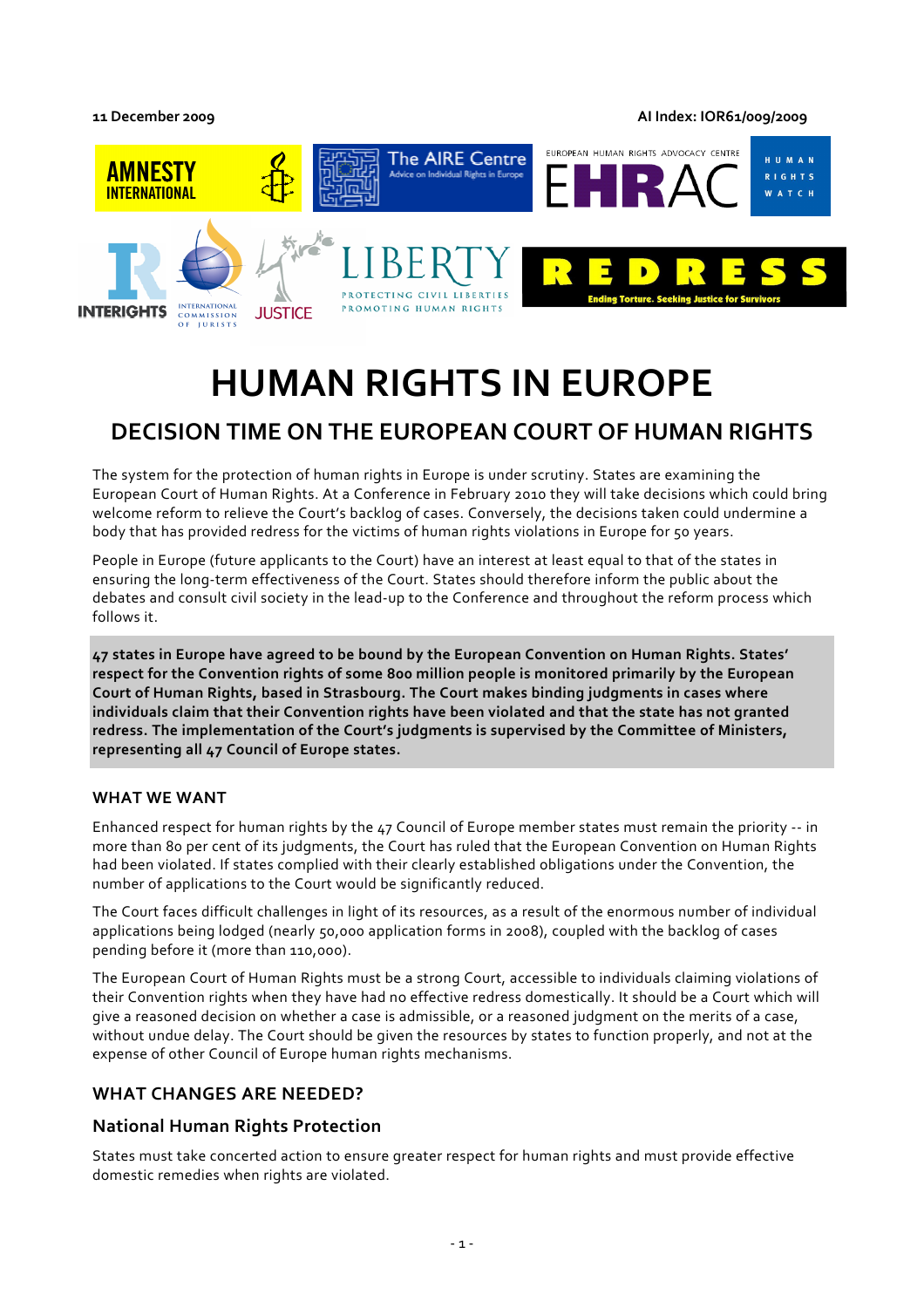**11 December 2009 AI Index: IOR61/009/2009**



# **HUMAN RIGHTS IN EUROPE**

## **DECISION TIME ON THE EUROPEAN COURT OF HUMAN RIGHTS**

The system for the protection of human rights in Europe is under scrutiny. States are examining the European Court of Human Rights. At a Conference in February 2010 they will take decisions which could bring welcome reform to relieve the Court's backlog of cases. Conversely, the decisions taken could undermine a body that has provided redress for the victims of human rights violations in Europe for 50 years.

People in Europe (future applicants to the Court) have an interest at least equal to that of the states in ensuring the long-term effectiveness of the Court. States should therefore inform the public about the debates and consult civil society in the lead-up to the Conference and throughout the reform process which follows it.

**47 states in Europe have agreed to be bound by the European Convention on Human Rights. States' respect for the Convention rights of some 800 million people is monitored primarily by the European Court of Human Rights, based in Strasbourg. The Court makes binding judgments in cases where individuals claim that their Convention rights have been violated and that the state has not granted redress. The implementation of the Court's judgments is supervised by the Committee of Ministers, representing all 47 Council of Europe states.** 

#### **WHAT WE WANT**

Enhanced respect for human rights by the 47 Council of Europe member states must remain the priority -- in more than 80 per cent of its judgments, the Court has ruled that the European Convention on Human Rights had been violated. If states complied with their clearly established obligations under the Convention, the number of applications to the Court would be significantly reduced.

The Court faces difficult challenges in light of its resources, as a result of the enormous number of individual applications being lodged (nearly 50,000 application forms in 2008), coupled with the backlog of cases pending before it (more than 110,000).

The European Court of Human Rights must be a strong Court, accessible to individuals claiming violations of their Convention rights when they have had no effective redress domestically. It should be a Court which will give a reasoned decision on whether a case is admissible, or a reasoned judgment on the merits of a case, without undue delay. The Court should be given the resources by states to function properly, and not at the expense of other Council of Europe human rights mechanisms.

## **WHAT CHANGES ARE NEEDED?**

## **National Human Rights Protection**

States must take concerted action to ensure greater respect for human rights and must provide effective domestic remedies when rights are violated.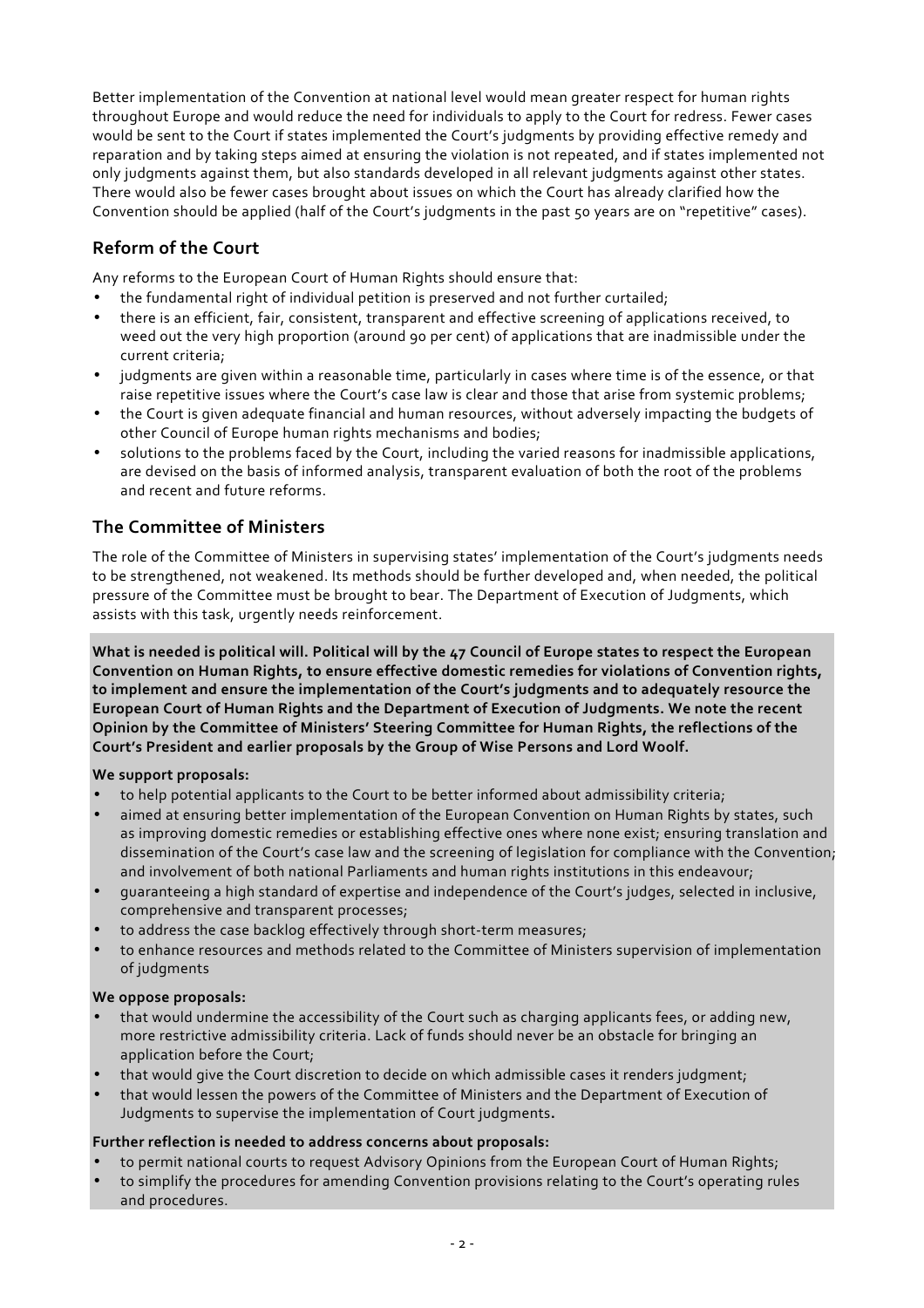Better implementation of the Convention at national level would mean greater respect for human rights throughout Europe and would reduce the need for individuals to apply to the Court for redress. Fewer cases would be sent to the Court if states implemented the Court's judgments by providing effective remedy and reparation and by taking steps aimed at ensuring the violation is not repeated, and if states implemented not only judgments against them, but also standards developed in all relevant judgments against other states. There would also be fewer cases brought about issues on which the Court has already clarified how the Convention should be applied (half of the Court's judgments in the past 50 years are on "repetitive" cases).

## **Reform of the Court**

Any reforms to the European Court of Human Rights should ensure that:

- the fundamental right of individual petition is preserved and not further curtailed;
- there is an efficient, fair, consistent, transparent and effective screening of applications received, to weed out the very high proportion (around 90 per cent) of applications that are inadmissible under the current criteria;
- judgments are given within a reasonable time, particularly in cases where time is of the essence, or that raise repetitive issues where the Court's case law is clear and those that arise from systemic problems;
- the Court is given adequate financial and human resources, without adversely impacting the budgets of other Council of Europe human rights mechanisms and bodies;
- solutions to the problems faced by the Court, including the varied reasons for inadmissible applications, are devised on the basis of informed analysis, transparent evaluation of both the root of the problems and recent and future reforms.

## **The Committee of Ministers**

The role of the Committee of Ministers in supervising states' implementation of the Court's judgments needs to be strengthened, not weakened. Its methods should be further developed and, when needed, the political pressure of the Committee must be brought to bear. The Department of Execution of Judgments, which assists with this task, urgently needs reinforcement.

**What is needed is political will. Political will by the 47 Council of Europe states to respect the European Convention on Human Rights, to ensure effective domestic remedies for violations of Convention rights, to implement and ensure the implementation of the Court's judgments and to adequately resource the European Court of Human Rights and the Department of Execution of Judgments. We note the recent Opinion by the Committee of Ministers' Steering Committee for Human Rights, the reflections of the Court's President and earlier proposals by the Group of Wise Persons and Lord Woolf.** 

#### **We support proposals:**

- to help potential applicants to the Court to be better informed about admissibility criteria;
- aimed at ensuring better implementation of the European Convention on Human Rights by states, such as improving domestic remedies or establishing effective ones where none exist; ensuring translation and dissemination of the Court's case law and the screening of legislation for compliance with the Convention; and involvement of both national Parliaments and human rights institutions in this endeavour;
- guaranteeing a high standard of expertise and independence of the Court's judges, selected in inclusive, comprehensive and transparent processes;
- to address the case backlog effectively through short-term measures;
- to enhance resources and methods related to the Committee of Ministers supervision of implementation of judgments

#### **We oppose proposals:**

- that would undermine the accessibility of the Court such as charging applicants fees, or adding new, more restrictive admissibility criteria. Lack of funds should never be an obstacle for bringing an application before the Court;
- that would give the Court discretion to decide on which admissible cases it renders judgment;
- that would lessen the powers of the Committee of Ministers and the Department of Execution of Judgments to supervise the implementation of Court judgments**.**

#### **Further reflection is needed to address concerns about proposals:**

- to permit national courts to request Advisory Opinions from the European Court of Human Rights;
- to simplify the procedures for amending Convention provisions relating to the Court's operating rules and procedures.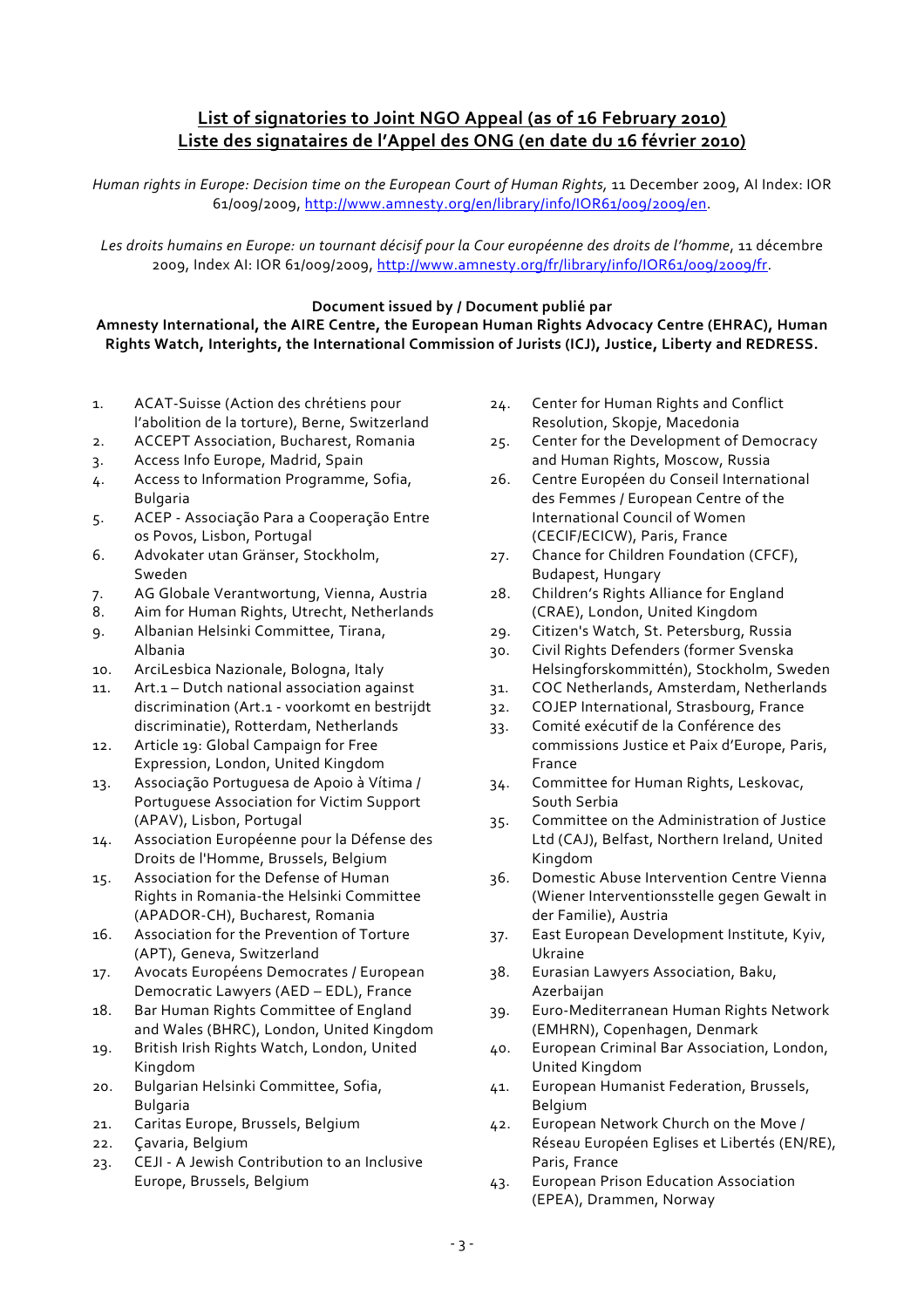## **List of signatories to Joint NGO Appeal (as of 16 February 2010) Liste des signataires de l'Appel des ONG (en date du 16 février 2010)**

*Human rights in Europe: Decision time on the European Court of Human Rights,* 11 December 2009, AI Index: IOR 61/009/2009, http://www.amnesty.org/en/library/info/IOR61/009/2009/en.

*Les droits humains en Europe: un tournant décisif pour la Cour européenne des droits de l'homme*, 11 décembre 2009, Index AI: IOR 61/009/2009, http://www.amnesty.org/fr/library/info/IOR61/009/2009/fr.

#### **Document issued by / Document publié par Amnesty International, the AIRE Centre, the European Human Rights Advocacy Centre (EHRAC), Human Rights Watch, Interights, the International Commission of Jurists (ICJ), Justice, Liberty and REDRESS.**

- 1. ACAT-Suisse (Action des chrétiens pour l'abolition de la torture), Berne, Switzerland
- 2. ACCEPT Association, Bucharest, Romania
- 3. Access Info Europe, Madrid, Spain
- 4. Access to Information Programme, Sofia, Bulgaria
- 5. ACEP Associação Para a Cooperação Entre os Povos, Lisbon, Portugal
- 6. Advokater utan Gränser, Stockholm, Sweden
- 7. AG Globale Verantwortung, Vienna, Austria
- 8. Aim for Human Rights, Utrecht, Netherlands
- 9. Albanian Helsinki Committee, Tirana, Albania
- 10. ArciLesbica Nazionale, Bologna, Italy
- 11. Art.1 Dutch national association against discrimination (Art.1 - voorkomt en bestrijdt discriminatie), Rotterdam, Netherlands
- 12. Article 19: Global Campaign for Free Expression, London, United Kingdom
- 13. Associação Portuguesa de Apoio à Vítima / Portuguese Association for Victim Support (APAV), Lisbon, Portugal
- 14. Association Européenne pour la Défense des Droits de l'Homme, Brussels, Belgium
- 15. Association for the Defense of Human Rights in Romania-the Helsinki Committee (APADOR-CH), Bucharest, Romania
- 16. Association for the Prevention of Torture (APT), Geneva, Switzerland
- 17. Avocats Européens Democrates / European Democratic Lawyers (AED – EDL), France
- 18. Bar Human Rights Committee of England and Wales (BHRC), London, United Kingdom
- 19. British Irish Rights Watch, London, United Kingdom
- 20. Bulgarian Helsinki Committee, Sofia, Bulgaria
- 21. Caritas Europe, Brussels, Belgium
- 22. Çavaria, Belgium
- 23. CEJI A Jewish Contribution to an Inclusive Europe, Brussels, Belgium
- 24. Center for Human Rights and Conflict Resolution, Skopje, Macedonia
- 25. Center for the Development of Democracy and Human Rights, Moscow, Russia
- 26. Centre Européen du Conseil International des Femmes / European Centre of the International Council of Women (CECIF/ECICW), Paris, France
- 27. Chance for Children Foundation (CFCF), Budapest, Hungary
- 28. Children's Rights Alliance for England (CRAE), London, United Kingdom
- 29. Citizen's Watch, St. Petersburg, Russia
- 30. Civil Rights Defenders (former Svenska Helsingforskommittén), Stockholm, Sweden
- 31. COC Netherlands, Amsterdam, Netherlands
- 32. COJEP International, Strasbourg, France
- 33. Comité exécutif de la Conférence des commissions Justice et Paix d'Europe, Paris, France
- 34. Committee for Human Rights, Leskovac, South Serbia
- 35. Committee on the Administration of Justice Ltd (CAJ), Belfast, Northern Ireland, United Kingdom
- 36. Domestic Abuse Intervention Centre Vienna (Wiener Interventionsstelle gegen Gewalt in der Familie), Austria
- 37. East European Development Institute, Kyiv, Ukraine
- 38. Eurasian Lawyers Association, Baku, Azerbaijan
- 39. Euro-Mediterranean Human Rights Network (EMHRN), Copenhagen, Denmark
- 40. European Criminal Bar Association, London, United Kingdom
- 41. European Humanist Federation, Brussels, Belgium
- 42. European Network Church on the Move / Réseau Européen Eglises et Libertés (EN/RE), Paris, France
- 43. European Prison Education Association (EPEA), Drammen, Norway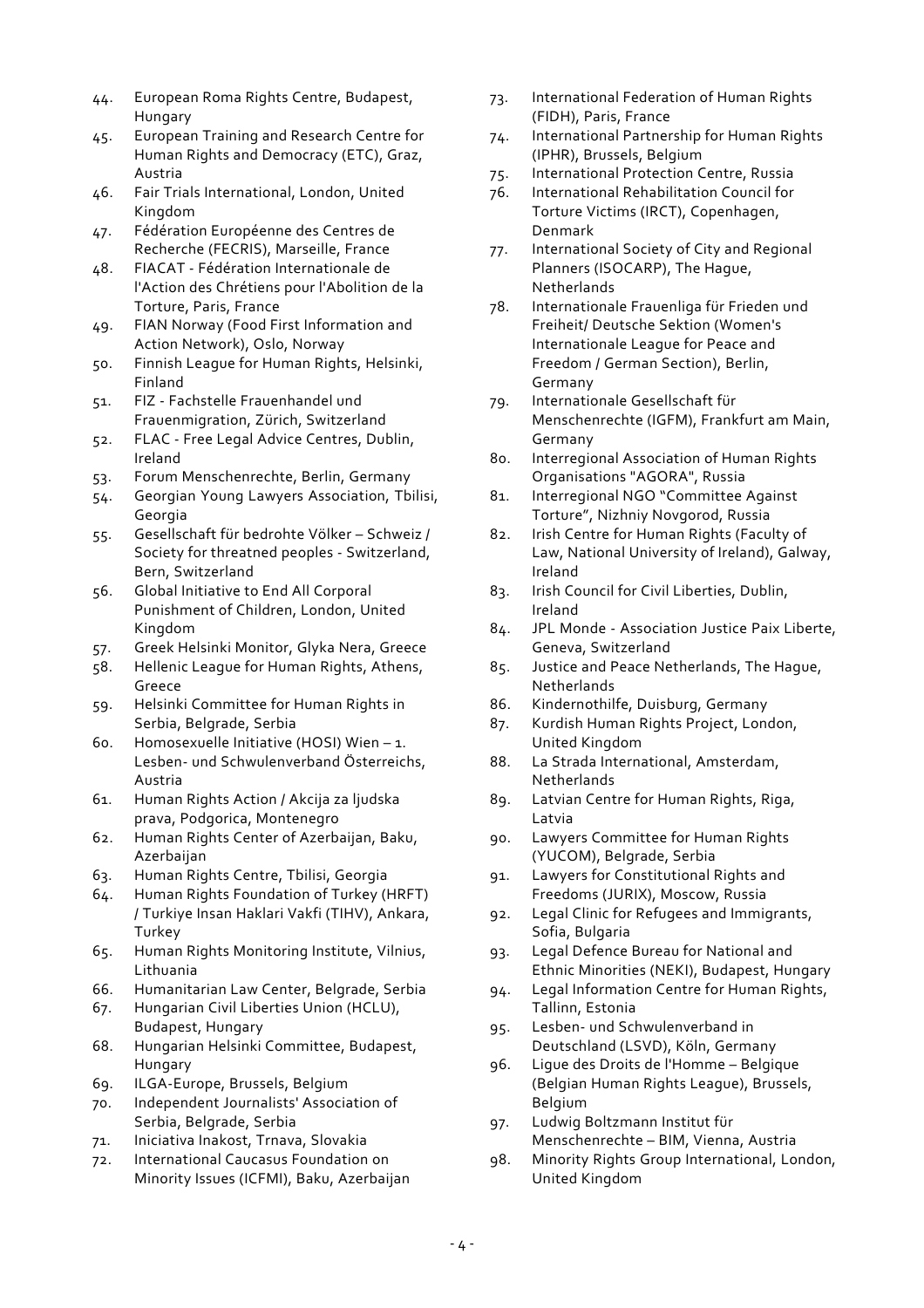- 44. European Roma Rights Centre, Budapest, Hungary
- 45. European Training and Research Centre for Human Rights and Democracy (ETC), Graz, Austria
- 46. Fair Trials International, London, United Kingdom
- 47. Fédération Européenne des Centres de Recherche (FECRIS), Marseille, France
- 48. FIACAT Fédération Internationale de l'Action des Chrétiens pour l'Abolition de la Torture, Paris, France
- 49. FIAN Norway (Food First Information and Action Network), Oslo, Norway
- 50. Finnish League for Human Rights, Helsinki, Finland
- 51. FIZ Fachstelle Frauenhandel und Frauenmigration, Zürich, Switzerland
- 52. FLAC Free Legal Advice Centres, Dublin, Ireland
- 53. Forum Menschenrechte, Berlin, Germany
- 54. Georgian Young Lawyers Association, Tbilisi, Georgia
- 55. Gesellschaft für bedrohte Völker Schweiz / Society for threatned peoples - Switzerland, Bern, Switzerland
- 56. Global Initiative to End All Corporal Punishment of Children, London, United Kingdom
- 57. Greek Helsinki Monitor, Glyka Nera, Greece
- 58. Hellenic League for Human Rights, Athens, Greece
- 59. Helsinki Committee for Human Rights in Serbia, Belgrade, Serbia
- 60. Homosexuelle Initiative (HOSI) Wien 1. Lesben- und Schwulenverband Österreichs, Austria
- 61. Human Rights Action / Akcija za ljudska prava, Podgorica, Montenegro
- 62. Human Rights Center of Azerbaijan, Baku, Azerbaijan
- 63. Human Rights Centre, Tbilisi, Georgia
- 64. Human Rights Foundation of Turkey (HRFT) / Turkiye Insan Haklari Vakfi (TIHV), Ankara, Turkey
- 65. Human Rights Monitoring Institute, Vilnius, Lithuania
- 66. Humanitarian Law Center, Belgrade, Serbia
- 67. Hungarian Civil Liberties Union (HCLU), Budapest, Hungary
- 68. Hungarian Helsinki Committee, Budapest, Hungary
- 69. ILGA-Europe, Brussels, Belgium
- 70. Independent Journalists' Association of Serbia, Belgrade, Serbia
- 71. Iniciativa Inakost, Trnava, Slovakia
- 72. International Caucasus Foundation on Minority Issues (ICFMI), Baku, Azerbaijan
- 73. International Federation of Human Rights (FIDH), Paris, France
- 74. International Partnership for Human Rights (IPHR), Brussels, Belgium
- 75. International Protection Centre, Russia
- 76. International Rehabilitation Council for Torture Victims (IRCT), Copenhagen, Denmark
- 77. International Society of City and Regional Planners (ISOCARP), The Hague, **Netherlands**
- 78. Internationale Frauenliga für Frieden und Freiheit/ Deutsche Sektion (Women's Internationale League for Peace and Freedom / German Section), Berlin, Germany
- 79. Internationale Gesellschaft für Menschenrechte (IGFM), Frankfurt am Main, Germany
- 80. Interregional Association of Human Rights Organisations "AGORA", Russia
- 81. Interregional NGO "Committee Against Torture", Nizhniy Novgorod, Russia
- 82. Irish Centre for Human Rights (Faculty of Law, National University of Ireland), Galway, Ireland
- 83. Irish Council for Civil Liberties, Dublin, Ireland
- 84. JPL Monde Association Justice Paix Liberte, Geneva, Switzerland
- 85. Justice and Peace Netherlands, The Hague, Netherlands
- 86. Kindernothilfe, Duisburg, Germany
- 87. Kurdish Human Rights Project, London, United Kingdom
- 88. La Strada International, Amsterdam, Netherlands
- 89. Latvian Centre for Human Rights, Riga, Latvia
- 90. Lawyers Committee for Human Rights (YUCOM), Belgrade, Serbia
- 91. Lawyers for Constitutional Rights and Freedoms (JURIX), Moscow, Russia
- 92. Legal Clinic for Refugees and Immigrants, Sofia, Bulgaria
- 93. Legal Defence Bureau for National and Ethnic Minorities (NEKI), Budapest, Hungary
- 94. Legal Information Centre for Human Rights, Tallinn, Estonia
- 95. Lesben- und Schwulenverband in Deutschland (LSVD), Köln, Germany
- 96. Ligue des Droits de l'Homme Belgique (Belgian Human Rights League), Brussels, Belgium
- 97. Ludwig Boltzmann Institut für Menschenrechte – BIM, Vienna, Austria
- 98. Minority Rights Group International, London, United Kingdom